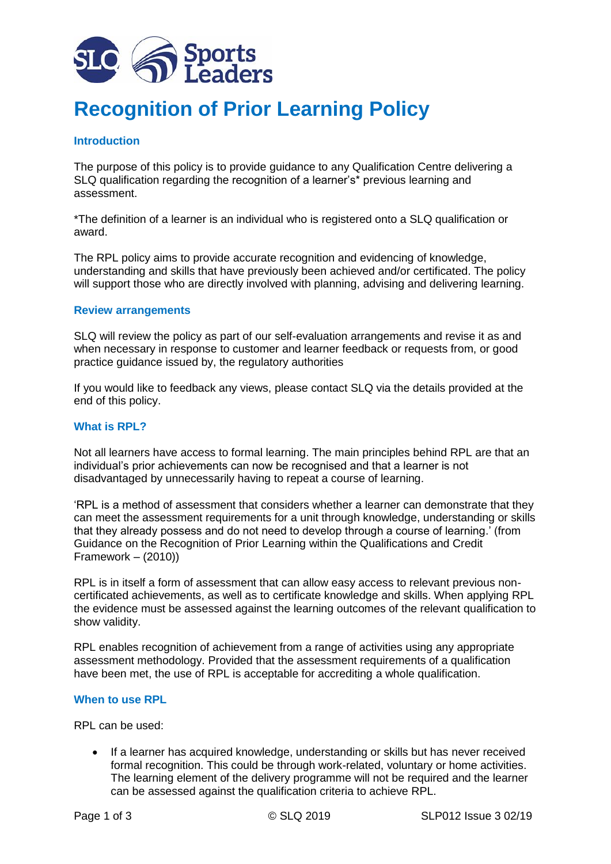

# **Recognition of Prior Learning Policy**

# **Introduction**

The purpose of this policy is to provide guidance to any Qualification Centre delivering a SLQ qualification regarding the recognition of a learner's\* previous learning and assessment.

\*The definition of a learner is an individual who is registered onto a SLQ qualification or award.

The RPL policy aims to provide accurate recognition and evidencing of knowledge, understanding and skills that have previously been achieved and/or certificated. The policy will support those who are directly involved with planning, advising and delivering learning.

### **Review arrangements**

SLQ will review the policy as part of our self-evaluation arrangements and revise it as and when necessary in response to customer and learner feedback or requests from, or good practice guidance issued by, the regulatory authorities

If you would like to feedback any views, please contact SLQ via the details provided at the end of this policy.

### **What is RPL?**

Not all learners have access to formal learning. The main principles behind RPL are that an individual's prior achievements can now be recognised and that a learner is not disadvantaged by unnecessarily having to repeat a course of learning.

'RPL is a method of assessment that considers whether a learner can demonstrate that they can meet the assessment requirements for a unit through knowledge, understanding or skills that they already possess and do not need to develop through a course of learning.' (from Guidance on the Recognition of Prior Learning within the Qualifications and Credit Framework – (2010))

RPL is in itself a form of assessment that can allow easy access to relevant previous noncertificated achievements, as well as to certificate knowledge and skills. When applying RPL the evidence must be assessed against the learning outcomes of the relevant qualification to show validity.

RPL enables recognition of achievement from a range of activities using any appropriate assessment methodology. Provided that the assessment requirements of a qualification have been met, the use of RPL is acceptable for accrediting a whole qualification.

### **When to use RPL**

RPL can be used:

• If a learner has acquired knowledge, understanding or skills but has never received formal recognition. This could be through work-related, voluntary or home activities. The learning element of the delivery programme will not be required and the learner can be assessed against the qualification criteria to achieve RPL.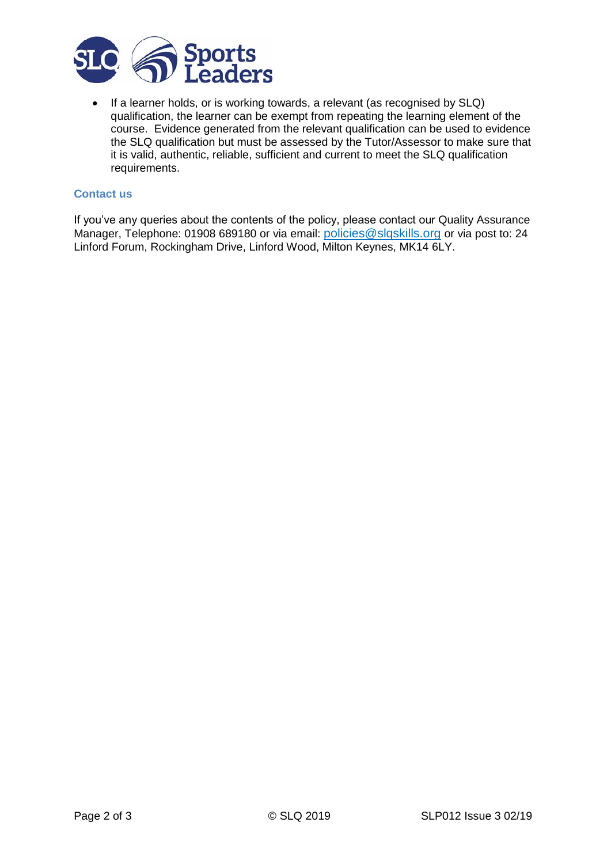

• If a learner holds, or is working towards, a relevant (as recognised by SLQ) qualification, the learner can be exempt from repeating the learning element of the course. Evidence generated from the relevant qualification can be used to evidence the SLQ qualification but must be assessed by the Tutor/Assessor to make sure that it is valid, authentic, reliable, sufficient and current to meet the SLQ qualification requirements.

## **Contact us**

If you've any queries about the contents of the policy, please contact our Quality Assurance Manager, Telephone: 01908 689180 or via email: [policies@slqskills.org](mailto:policies@slqskills.org) or via post to: 24 Linford Forum, Rockingham Drive, Linford Wood, Milton Keynes, MK14 6LY.